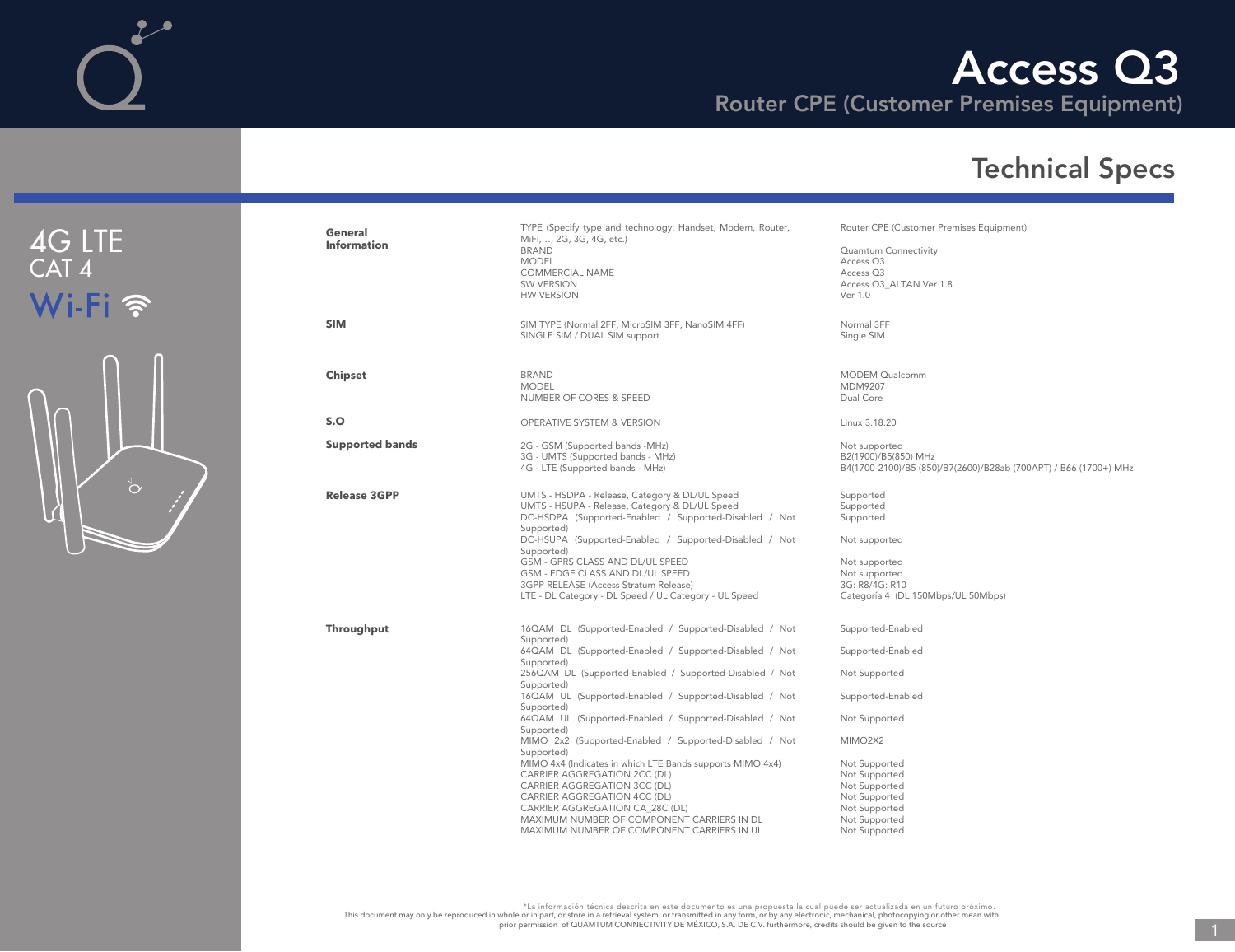Router CPE (Customer Premises Equipment)



| General<br><b>Information</b> | TYPE (Specify type and technology: Handset, Modem, Router,<br>MiFi,, 2G, 3G, 4G, etc.)<br><b>BRAND</b><br><b>MODEL</b><br><b>COMMERCIAL NAME</b><br><b>SW VERSION</b><br><b>HW VERSION</b>                                                                                                                                                                                                                                                                                                                                                                                                                                                                                                                                                | Router CPE (Customer Premises Equipment)<br>Quamtum Connectivity<br>Access Q3<br>Access Q3<br>Access Q3 ALTAN Ver 1.8<br>Ver 1.0                                                                                                            |
|-------------------------------|-------------------------------------------------------------------------------------------------------------------------------------------------------------------------------------------------------------------------------------------------------------------------------------------------------------------------------------------------------------------------------------------------------------------------------------------------------------------------------------------------------------------------------------------------------------------------------------------------------------------------------------------------------------------------------------------------------------------------------------------|---------------------------------------------------------------------------------------------------------------------------------------------------------------------------------------------------------------------------------------------|
| <b>SIM</b>                    | SIM TYPE (Normal 2FF, MicroSIM 3FF, NanoSIM 4FF)<br>SINGLE SIM / DUAL SIM support                                                                                                                                                                                                                                                                                                                                                                                                                                                                                                                                                                                                                                                         | Normal 3FF<br>Single SIM                                                                                                                                                                                                                    |
| <b>Chipset</b>                | <b>BRAND</b><br><b>MODEL</b><br>NUMBER OF CORES & SPEED                                                                                                                                                                                                                                                                                                                                                                                                                                                                                                                                                                                                                                                                                   | <b>MODEM Qualcomm</b><br>MDM9207<br>Dual Core                                                                                                                                                                                               |
| S.O                           | <b>OPERATIVE SYSTEM &amp; VERSION</b>                                                                                                                                                                                                                                                                                                                                                                                                                                                                                                                                                                                                                                                                                                     | Linux 3.18.20                                                                                                                                                                                                                               |
| <b>Supported bands</b>        | 2G - GSM (Supported bands -MHz)<br>3G - UMTS (Supported bands - MHz)<br>4G - LTE (Supported bands - MHz)                                                                                                                                                                                                                                                                                                                                                                                                                                                                                                                                                                                                                                  | Not supported<br>B2(1900)/B5(850) MHz<br>B4(1700-2100)/B5 (850)/B7(2600)/B28ab (700APT) / B66 (1700+) MHz                                                                                                                                   |
| <b>Release 3GPP</b>           | UMTS - HSDPA - Release, Category & DL/UL Speed<br>UMTS - HSUPA - Release, Category & DL/UL Speed<br>DC-HSDPA (Supported-Enabled / Supported-Disabled / Not<br>Supported)<br>DC-HSUPA (Supported-Enabled / Supported-Disabled / Not<br>Supported)<br>GSM - GPRS CLASS AND DL/UL SPEED<br>GSM - EDGE CLASS AND DL/UL SPEED<br>3GPP RELEASE (Access Stratum Release)<br>LTE - DL Category - DL Speed / UL Category - UL Speed                                                                                                                                                                                                                                                                                                                | Supported<br>Supported<br>Supported<br>Not supported<br>Not supported<br>Not supported<br>3G: R8/4G: R10<br>Categoría 4 (DL 150Mbps/UL 50Mbps)                                                                                              |
| <b>Throughput</b>             | 16QAM DL (Supported-Enabled / Supported-Disabled / Not<br>Supported)<br>64QAM DL (Supported-Enabled / Supported-Disabled / Not<br>Supported)<br>256QAM DL (Supported-Enabled / Supported-Disabled / Not<br>Supported)<br>16QAM UL (Supported-Enabled / Supported-Disabled / Not<br>Supported)<br>64QAM UL (Supported-Enabled / Supported-Disabled / Not<br>Supported)<br>MIMO 2x2 (Supported-Enabled / Supported-Disabled / Not<br>Supported)<br>MIMO 4x4 (Indicates in which LTE Bands supports MIMO 4x4)<br>CARRIER AGGREGATION 2CC (DL)<br>CARRIER AGGREGATION 3CC (DL)<br>CARRIER AGGREGATION 4CC (DL)<br>CARRIER AGGREGATION CA_28C (DL)<br>MAXIMUM NUMBER OF COMPONENT CARRIERS IN DL<br>MAXIMUM NUMBER OF COMPONENT CARRIERS IN UL | Supported-Enabled<br>Supported-Enabled<br>Not Supported<br>Supported-Enabled<br>Not Supported<br>MIMO <sub>2X2</sub><br>Not Supported<br>Not Supported<br>Not Supported<br>Not Supported<br>Not Supported<br>Not Supported<br>Not Supported |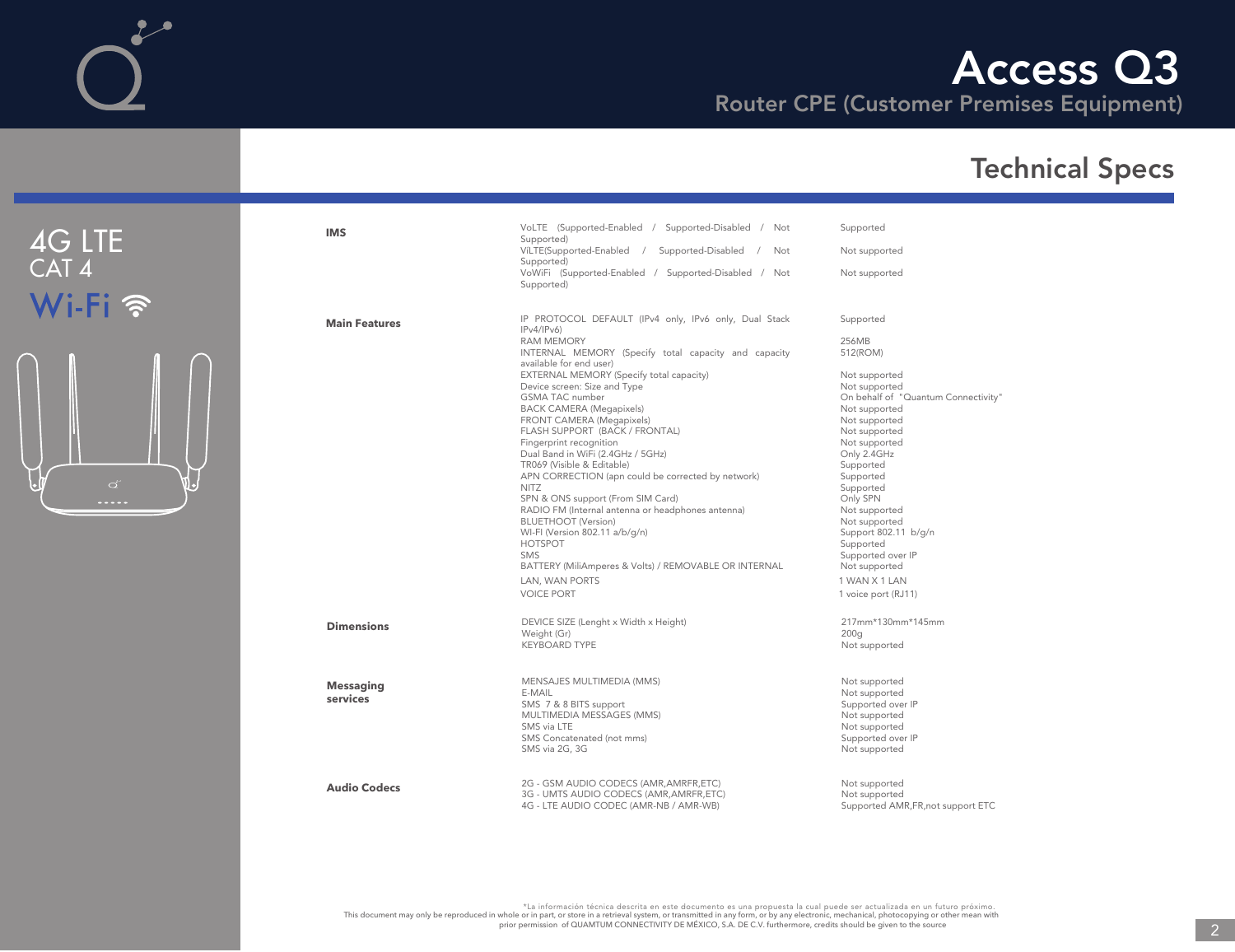## Technical Specs

|     | <b>IMS</b>           | VoLTE (Supported-Enabled / Supported-Disabled / Not<br>Supported)               | Supported                           |
|-----|----------------------|---------------------------------------------------------------------------------|-------------------------------------|
|     |                      | VíLTE(Supported-Enabled /<br>Supported-Disabled<br>Not<br>Supported)            | Not supported                       |
|     |                      | VoWiFi (Supported-Enabled / Supported-Disabled / Not<br>Supported)              | Not supported                       |
|     | <b>Main Features</b> | IP PROTOCOL DEFAULT (IPv4 only, IPv6 only, Dual Stack<br>IPv4/IPv6              | Supported                           |
|     |                      | <b>RAM MEMORY</b>                                                               | 256MB                               |
|     |                      | INTERNAL MEMORY (Specify total capacity and capacity<br>available for end user) | 512(ROM)                            |
|     |                      | EXTERNAL MEMORY (Specify total capacity)                                        | Not supported                       |
|     |                      | Device screen: Size and Type                                                    | Not supported                       |
|     |                      | <b>GSMA TAC number</b>                                                          | On behalf of "Quantum Connectivity" |
|     |                      | <b>BACK CAMERA (Megapixels)</b>                                                 | Not supported                       |
|     |                      | FRONT CAMERA (Megapixels)                                                       | Not supported                       |
|     |                      | FLASH SUPPORT (BACK / FRONTAL)                                                  | Not supported                       |
|     |                      | Fingerprint recognition                                                         | Not supported                       |
|     |                      | Dual Band in WiFi (2.4GHz / 5GHz)                                               | Only 2.4GHz                         |
|     |                      | TR069 (Visible & Editable)                                                      | Supported                           |
|     |                      | APN CORRECTION (apn could be corrected by network)                              | Supported                           |
| ۷I. |                      | <b>NITZ</b>                                                                     | Supported                           |
|     |                      | SPN & ONS support (From SIM Card)                                               | Only SPN                            |
|     |                      | RADIO FM (Internal antenna or headphones antenna)                               | Not supported                       |
|     |                      | <b>BLUETHOOT</b> (Version)                                                      | Not supported                       |
|     |                      | WI-FI (Version 802.11 a/b/g/n)                                                  | Support 802.11 b/g/n                |
|     |                      | <b>HOTSPOT</b>                                                                  | Supported                           |
|     |                      | <b>SMS</b>                                                                      | Supported over IP                   |
|     |                      | BATTERY (MiliAmperes & Volts) / REMOVABLE OR INTERNAL                           | Not supported                       |
|     |                      | LAN, WAN PORTS                                                                  | 1 WAN X 1 LAN                       |
|     |                      | <b>VOICE PORT</b>                                                               | 1 voice port (RJ11)                 |
|     |                      |                                                                                 |                                     |
|     | <b>Dimensions</b>    | DEVICE SIZE (Lenght x Width x Height)                                           | 217mm*130mm*145mm                   |
|     |                      | Weight (Gr)                                                                     | 200 <sub>g</sub>                    |
|     |                      | <b>KEYBOARD TYPE</b>                                                            | Not supported                       |
|     |                      |                                                                                 |                                     |
|     | <b>Messaging</b>     | MENSAJES MULTIMEDIA (MMS)                                                       | Not supported                       |
|     |                      | E-MAIL                                                                          | Not supported                       |
|     | services             | SMS 7 & 8 BITS support                                                          | Supported over IP                   |
|     |                      | MULTIMEDIA MESSAGES (MMS)                                                       | Not supported                       |
|     |                      | SMS via LTE                                                                     | Not supported                       |
|     |                      | SMS Concatenated (not mms)                                                      | Supported over IP                   |
|     |                      | SMS via 2G, 3G                                                                  | Not supported                       |
|     |                      |                                                                                 |                                     |
|     | <b>Audio Codecs</b>  | 2G - GSM AUDIO CODECS (AMR, AMRFR, ETC)                                         | Not supported                       |
|     |                      | 3G - UMTS AUDIO CODECS (AMR, AMRFR, ETC)                                        | Not supported                       |
|     |                      | 4G - LTE AUDIO CODEC (AMR-NB / AMR-WB)                                          | Supported AMR, FR, not support ETC  |

4G LTE CAT 4

Wi-Fi ?

 $\mathcal{L}^{\bullet}$ 

t a información técnica descrita en este documento es una propuesta la cual puede ser actualizada en un futuro próximo.<br>This document may only be reproduced in whole or in part, or store in a retrieval system, or by any el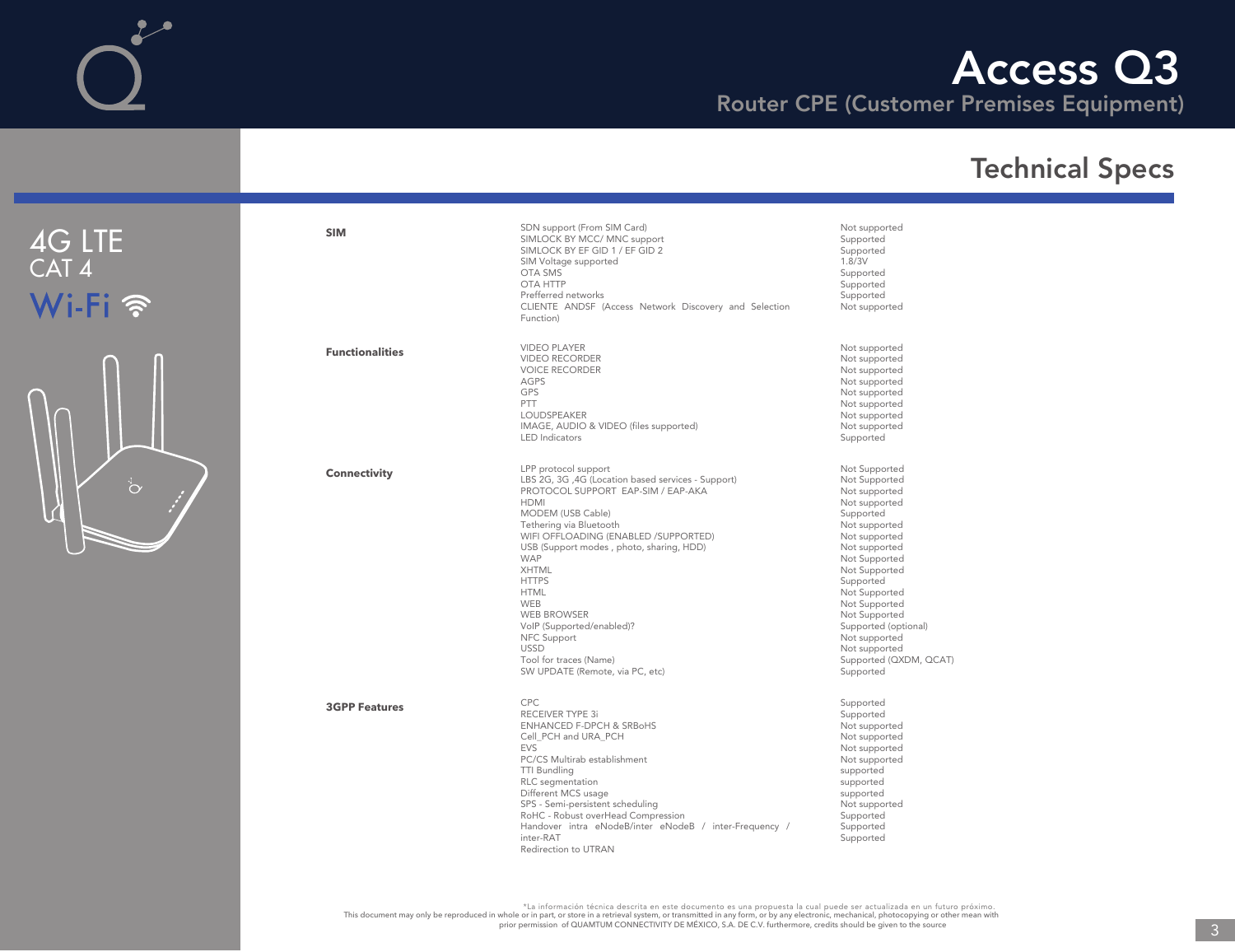## Access Q3

Router CPE (Customer Premises Equipment)



| <b>SIM</b>             | SDN support (From SIM Card)<br>SIMLOCK BY MCC/ MNC support<br>SIMLOCK BY EF GID 1 / EF GID 2<br>SIM Voltage supported<br>OTA SMS<br><b>OTA HTTP</b><br>Prefferred networks<br>CLIENTE ANDSF (Access Network Discovery and Selection<br>Function)                                                                                                                                                                                                                                             | Not supported<br>Supported<br>Supported<br>1.8/3V<br>Supported<br>Supported<br>Supported<br>Not supported                                                                                                                                                                                                                           |
|------------------------|----------------------------------------------------------------------------------------------------------------------------------------------------------------------------------------------------------------------------------------------------------------------------------------------------------------------------------------------------------------------------------------------------------------------------------------------------------------------------------------------|-------------------------------------------------------------------------------------------------------------------------------------------------------------------------------------------------------------------------------------------------------------------------------------------------------------------------------------|
| <b>Functionalities</b> | <b>VIDEO PLAYER</b><br><b>VIDEO RECORDER</b><br><b>VOICE RECORDER</b><br><b>AGPS</b><br><b>GPS</b><br>PTT<br><b>LOUDSPEAKER</b><br>IMAGE, AUDIO & VIDEO (files supported)<br><b>LED</b> Indicators                                                                                                                                                                                                                                                                                           | Not supported<br>Not supported<br>Not supported<br>Not supported<br>Not supported<br>Not supported<br>Not supported<br>Not supported<br>Supported                                                                                                                                                                                   |
| <b>Connectivity</b>    | LPP protocol support<br>LBS 2G, 3G, 4G (Location based services - Support)<br>PROTOCOL SUPPORT EAP-SIM / EAP-AKA<br><b>HDMI</b><br>MODEM (USB Cable)<br>Tethering via Bluetooth<br>WIFI OFFLOADING (ENABLED /SUPPORTED)<br>USB (Support modes, photo, sharing, HDD)<br><b>WAP</b><br><b>XHTML</b><br><b>HTTPS</b><br><b>HTML</b><br><b>WEB</b><br><b>WEB BROWSER</b><br>VoIP (Supported/enabled)?<br>NFC Support<br><b>USSD</b><br>Tool for traces (Name)<br>SW UPDATE (Remote, via PC, etc) | Not Supported<br>Not Supported<br>Not supported<br>Not supported<br>Supported<br>Not supported<br>Not supported<br>Not supported<br>Not Supported<br>Not Supported<br>Supported<br>Not Supported<br>Not Supported<br>Not Supported<br>Supported (optional)<br>Not supported<br>Not supported<br>Supported (QXDM, QCAT)<br>Supported |
| <b>3GPP Features</b>   | CPC.<br><b>RECEIVER TYPE 3i</b><br><b>ENHANCED F-DPCH &amp; SRBoHS</b><br>Cell PCH and URA PCH<br><b>EVS</b><br>PC/CS Multirab establishment<br><b>TTI Bundling</b><br>RLC segmentation<br>Different MCS usage<br>SPS - Semi-persistent scheduling<br>RoHC - Robust overHead Compression<br>Handover intra eNodeB/inter eNodeB / inter-Frequency /<br>inter-RAT<br>Redirection to UTRAN                                                                                                      | Supported<br>Supported<br>Not supported<br>Not supported<br>Not supported<br>Not supported<br>supported<br>supported<br>supported<br>Not supported<br>Supported<br>Supported<br>Supported                                                                                                                                           |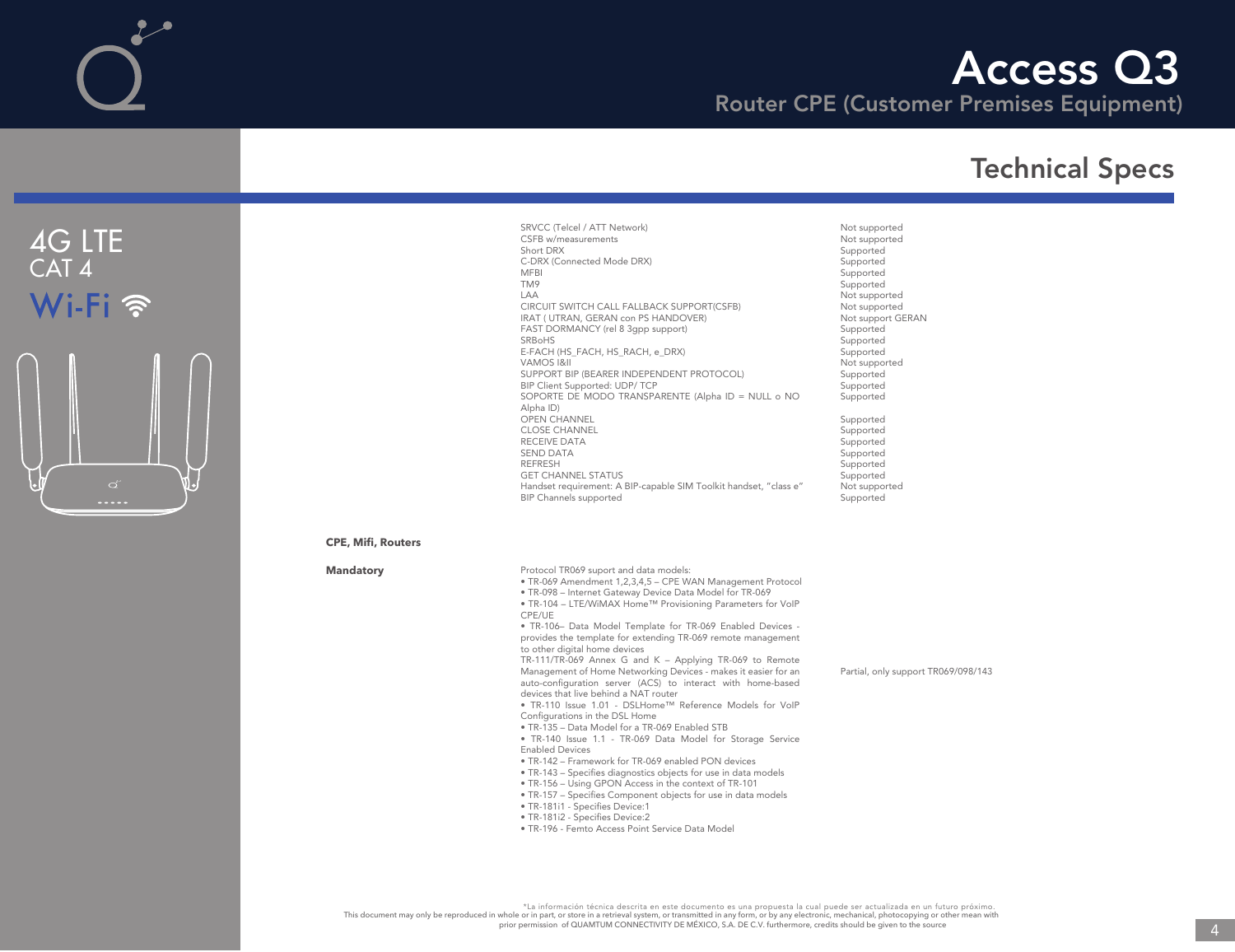# Access Q3

Router CPE (Customer Premises Equipment)

## Technical Specs



SRVCC (Telcel / ATT Network) CSFB w/measurements Short DRX C-DRX (Connected Mode DRX) MFBI TM9 LAA CIRCUIT SWITCH CALL FALLBACK SUPPORT(CSFB) IRAT ( UTRAN, GERAN con PS HANDOVER) FAST DORMANCY (rel 8 3gpp support) SRBoHS E-FACH (HS\_FACH, HS\_RACH, e\_DRX) VAMOS I&II SUPPORT BIP (BEARER INDEPENDENT PROTOCOL) BIP Client Supported: UDP/ TCP SOPORTE DE MODO TRANSPARENTE (Alpha ID = NULL o NO Alpha ID) OPEN CHANNEL CLOSE CHANNEL RECEIVE DATA SEND DATA REFRESH GET CHANNEL STATUS Handset requirement: A BIP-capable SIM Toolkit handset, "class e" BIP Channels supported

Not supported Not supported Supported **Supported** Supported Supported Not supported Not supported Not support GERAN Supported Supported Supported Not supported **Supported** Supported Supported Supported Supported Supported Supported Supported

Supported Not supported Supported

#### **CPE, Mifi, Routers**

**Mandatory**

- Protocol TR069 suport and data models: • TR-069 Amendment 1,2,3,4,5 – CPE WAN Management Protocol • TR-098 – Internet Gateway Device Data Model for TR-069 • TR-104 – LTE/WiMAX Home™ Provisioning Parameters for VoIP CPE/UE • TR-106– Data Model Template for TR-069 Enabled Devices provides the template for extending TR-069 remote management to other digital home devices TR-111/TR-069 Annex G and K – Applying TR-069 to Remote Management of Home Networking Devices - makes it easier for an auto-configuration server (ACS) to interact with home-based devices that live behind a NAT router • TR-110 Issue 1.01 - DSLHome™ Reference Models for VoIP Configurations in the DSL Home • TR-135 – Data Model for a TR-069 Enabled STB • TR-140 Issue 1.1 - TR-069 Data Model for Storage Service Enabled Devices • TR-142 – Framework for TR-069 enabled PON devices • TR-143 – Specifies diagnostics objects for use in data models • TR-156 – Using GPON Access in the context of TR-101 Partial, only support TR069/098/143
	-
	- TR-157 Specifies Component objects for use in data models
	- TR-181i1 Specifies Device:1
	- TR-181i2 Specifies Device:2
	- TR-196 Femto Access Point Service Data Model

\*La información técnica descrita en este documento es una propuesta la cual puede ser actualizada en un futuro próximo. This document may only be reproduced in whole or in part, or store in a retrieval system, or transmitted in any form, or by any electronic, mechanical, photocopying or other mean with<br>prior permission of QUAMTUM CONNECTIV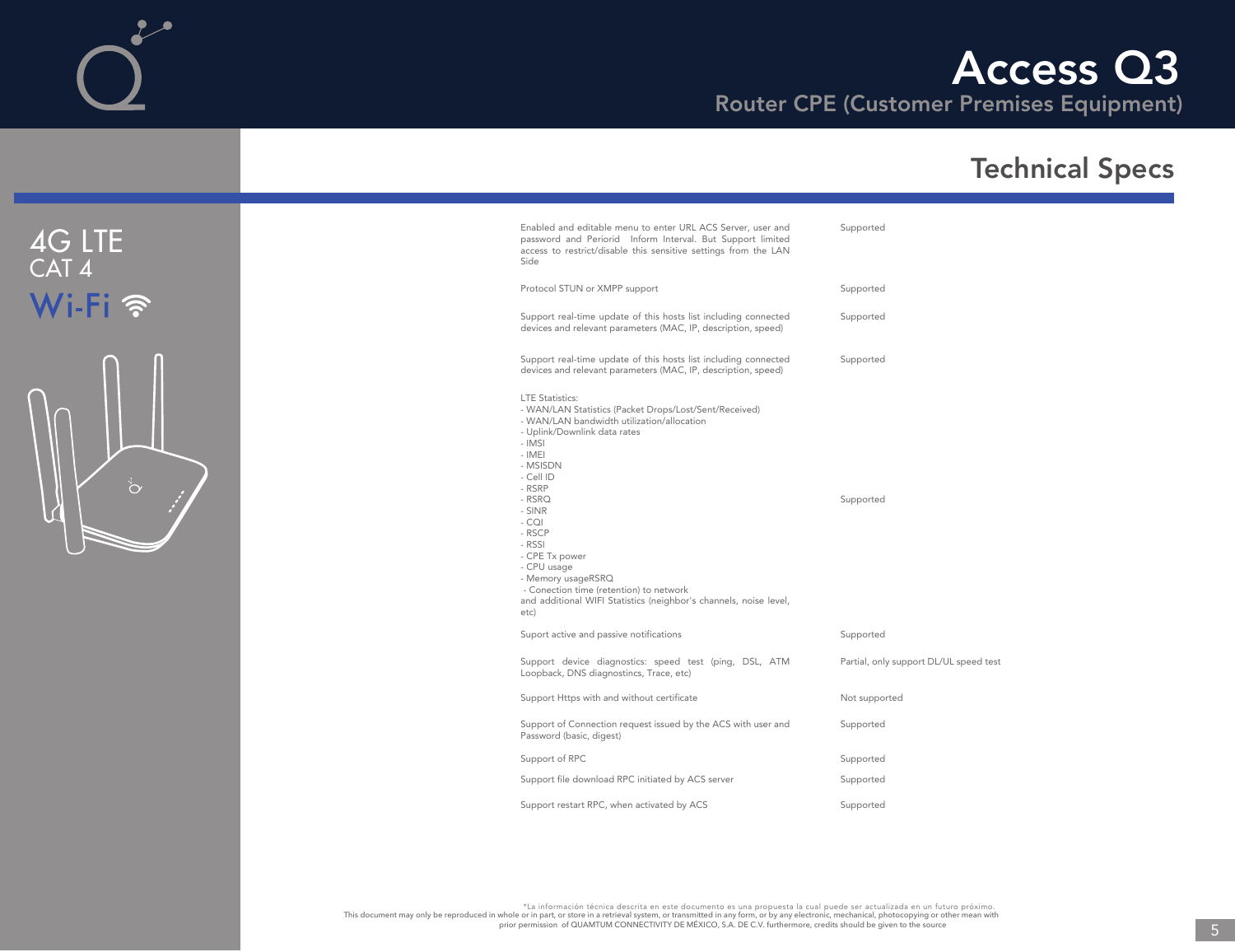

| Enabled and editable menu to enter URL ACS Server, user and<br>password and Periorid Inform Interval. But Support limited<br>access to restrict/disable this sensitive settings from the LAN<br>Side                                                                                                                                                                                                                                                    | Supported                              |
|---------------------------------------------------------------------------------------------------------------------------------------------------------------------------------------------------------------------------------------------------------------------------------------------------------------------------------------------------------------------------------------------------------------------------------------------------------|----------------------------------------|
| Protocol STUN or XMPP support                                                                                                                                                                                                                                                                                                                                                                                                                           | Supported                              |
| Support real-time update of this hosts list including connected<br>devices and relevant parameters (MAC, IP, description, speed)                                                                                                                                                                                                                                                                                                                        | Supported                              |
| Support real-time update of this hosts list including connected<br>devices and relevant parameters (MAC, IP, description, speed)                                                                                                                                                                                                                                                                                                                        | Supported                              |
| <b>LTE Statistics:</b><br>- WAN/LAN Statistics (Packet Drops/Lost/Sent/Received)<br>- WAN/LAN bandwidth utilization/allocation<br>- Uplink/Downlink data rates<br>- IMSI<br>- IMEI<br>- MSISDN<br>- Cell ID<br>- RSRP<br>$-$ RSRQ<br>- SINR<br>- CQI<br>- RSCP<br>- RSSI<br>- CPE Tx power<br>- CPU usage<br>- Memory usageRSRQ<br>- Conection time (retention) to network<br>and additional WIFI Statistics (neighbor's channels, noise level,<br>etc) | Supported                              |
| Suport active and passive notifications                                                                                                                                                                                                                                                                                                                                                                                                                 | Supported                              |
| Support device diagnostics: speed test (ping, DSL, ATM<br>Loopback, DNS diagnostincs, Trace, etc)                                                                                                                                                                                                                                                                                                                                                       | Partial, only support DL/UL speed test |
| Support Https with and without certificate                                                                                                                                                                                                                                                                                                                                                                                                              | Not supported                          |
| Support of Connection request issued by the ACS with user and<br>Password (basic, digest)                                                                                                                                                                                                                                                                                                                                                               | Supported                              |
| Support of RPC                                                                                                                                                                                                                                                                                                                                                                                                                                          | Supported                              |
| Support file download RPC initiated by ACS server                                                                                                                                                                                                                                                                                                                                                                                                       | Supported                              |
| Support restart RPC, when activated by ACS                                                                                                                                                                                                                                                                                                                                                                                                              | Supported                              |